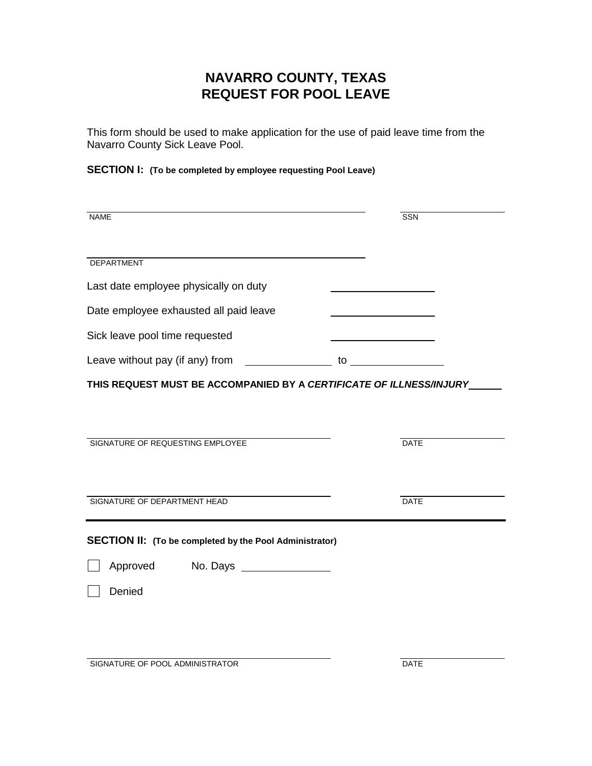## **NAVARRO COUNTY, TEXAS REQUEST FOR POOL LEAVE**

This form should be used to make application for the use of paid leave time from the Navarro County Sick Leave Pool.

**SECTION I: (To be completed by employee requesting Pool Leave)**

| <b>NAME</b>                                                         | SSN         |
|---------------------------------------------------------------------|-------------|
| <b>DEPARTMENT</b>                                                   |             |
| Last date employee physically on duty                               |             |
| Date employee exhausted all paid leave                              |             |
| Sick leave pool time requested                                      |             |
|                                                                     |             |
| THIS REQUEST MUST BE ACCOMPANIED BY A CERTIFICATE OF ILLNESS/INJURY |             |
| SIGNATURE OF REQUESTING EMPLOYEE                                    | <b>DATE</b> |
| SIGNATURE OF DEPARTMENT HEAD                                        | <b>DATE</b> |
| <b>SECTION II:</b> (To be completed by the Pool Administrator)      |             |
| Approved<br>No. Days _________________                              |             |
| Denied                                                              |             |
|                                                                     |             |